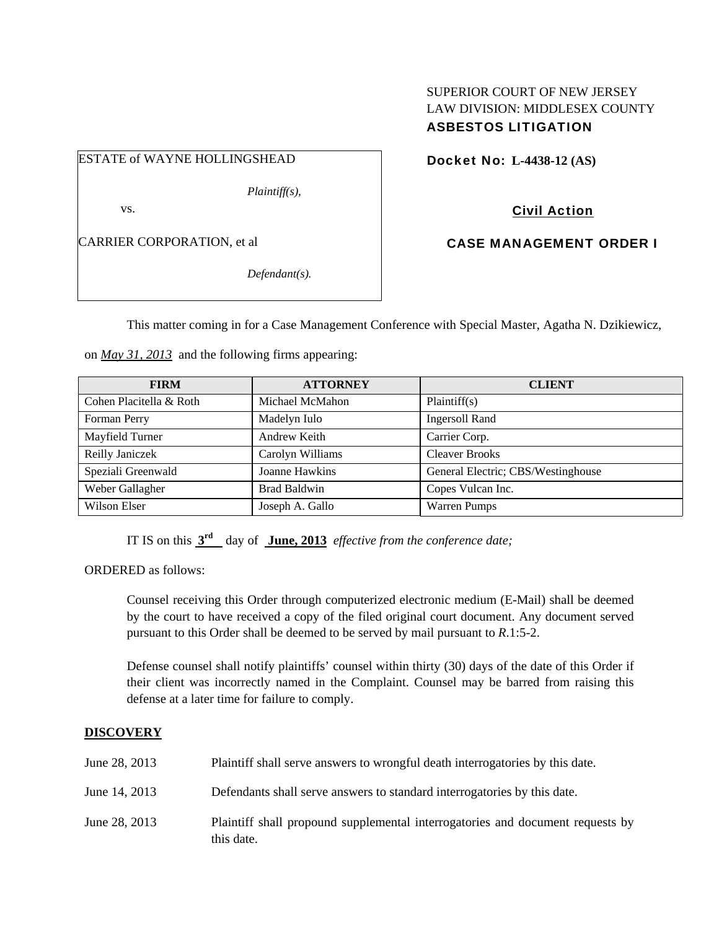# SUPERIOR COURT OF NEW JERSEY LAW DIVISION: MIDDLESEX COUNTY ASBESTOS LITIGATION

ESTATE of WAYNE HOLLINGSHEAD

*Plaintiff(s),* 

vs.

CARRIER CORPORATION, et al

*Defendant(s).* 

Docket No: **L-4438-12 (AS)** 

Civil Action

CASE MANAGEMENT ORDER I

This matter coming in for a Case Management Conference with Special Master, Agatha N. Dzikiewicz,

on *May 31, 2013* and the following firms appearing:

| <b>FIRM</b>             | <b>ATTORNEY</b>     | <b>CLIENT</b>                      |
|-------------------------|---------------------|------------------------------------|
| Cohen Placitella & Roth | Michael McMahon     | Plaintiff(s)                       |
| Forman Perry            | Madelyn Iulo        | <b>Ingersoll Rand</b>              |
| Mayfield Turner         | Andrew Keith        | Carrier Corp.                      |
| Reilly Janiczek         | Carolyn Williams    | <b>Cleaver Brooks</b>              |
| Speziali Greenwald      | Joanne Hawkins      | General Electric; CBS/Westinghouse |
| Weber Gallagher         | <b>Brad Baldwin</b> | Copes Vulcan Inc.                  |
| Wilson Elser            | Joseph A. Gallo     | <b>Warren Pumps</b>                |

IT IS on this **3rd** day of **June, 2013** *effective from the conference date;*

ORDERED as follows:

Counsel receiving this Order through computerized electronic medium (E-Mail) shall be deemed by the court to have received a copy of the filed original court document. Any document served pursuant to this Order shall be deemed to be served by mail pursuant to *R*.1:5-2.

Defense counsel shall notify plaintiffs' counsel within thirty (30) days of the date of this Order if their client was incorrectly named in the Complaint. Counsel may be barred from raising this defense at a later time for failure to comply.

# **DISCOVERY**

| June 28, 2013 | Plaintiff shall serve answers to wrongful death interrogatories by this date.                |
|---------------|----------------------------------------------------------------------------------------------|
| June 14, 2013 | Defendants shall serve answers to standard interrogatories by this date.                     |
| June 28, 2013 | Plaintiff shall propound supplemental interrogatories and document requests by<br>this date. |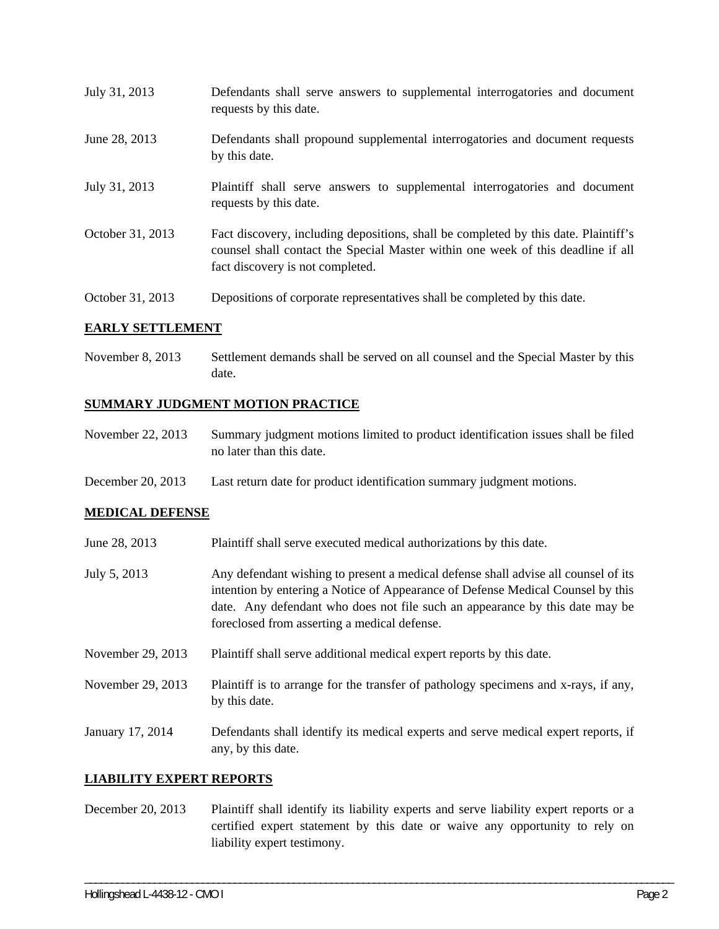| July 31, 2013    | Defendants shall serve answers to supplemental interrogatories and document<br>requests by this date.                                                                                                       |
|------------------|-------------------------------------------------------------------------------------------------------------------------------------------------------------------------------------------------------------|
| June 28, 2013    | Defendants shall propound supplemental interrogatories and document requests<br>by this date.                                                                                                               |
| July 31, 2013    | Plaintiff shall serve answers to supplemental interrogatories and document<br>requests by this date.                                                                                                        |
| October 31, 2013 | Fact discovery, including depositions, shall be completed by this date. Plaintiff's<br>counsel shall contact the Special Master within one week of this deadline if all<br>fact discovery is not completed. |
| October 31, 2013 | Depositions of corporate representatives shall be completed by this date.                                                                                                                                   |

### **EARLY SETTLEMENT**

November 8, 2013 Settlement demands shall be served on all counsel and the Special Master by this date.

### **SUMMARY JUDGMENT MOTION PRACTICE**

- November 22, 2013 Summary judgment motions limited to product identification issues shall be filed no later than this date.
- December 20, 2013 Last return date for product identification summary judgment motions.

## **MEDICAL DEFENSE**

- June 28, 2013 Plaintiff shall serve executed medical authorizations by this date.
- July 5, 2013 Any defendant wishing to present a medical defense shall advise all counsel of its intention by entering a Notice of Appearance of Defense Medical Counsel by this date. Any defendant who does not file such an appearance by this date may be foreclosed from asserting a medical defense.
- November 29, 2013 Plaintiff shall serve additional medical expert reports by this date.
- November 29, 2013 Plaintiff is to arrange for the transfer of pathology specimens and x-rays, if any, by this date.
- January 17, 2014 Defendants shall identify its medical experts and serve medical expert reports, if any, by this date.

#### **LIABILITY EXPERT REPORTS**

December 20, 2013 Plaintiff shall identify its liability experts and serve liability expert reports or a certified expert statement by this date or waive any opportunity to rely on liability expert testimony.

\_\_\_\_\_\_\_\_\_\_\_\_\_\_\_\_\_\_\_\_\_\_\_\_\_\_\_\_\_\_\_\_\_\_\_\_\_\_\_\_\_\_\_\_\_\_\_\_\_\_\_\_\_\_\_\_\_\_\_\_\_\_\_\_\_\_\_\_\_\_\_\_\_\_\_\_\_\_\_\_\_\_\_\_\_\_\_\_\_\_\_\_\_\_\_\_\_\_\_\_\_\_\_\_\_\_\_\_\_\_